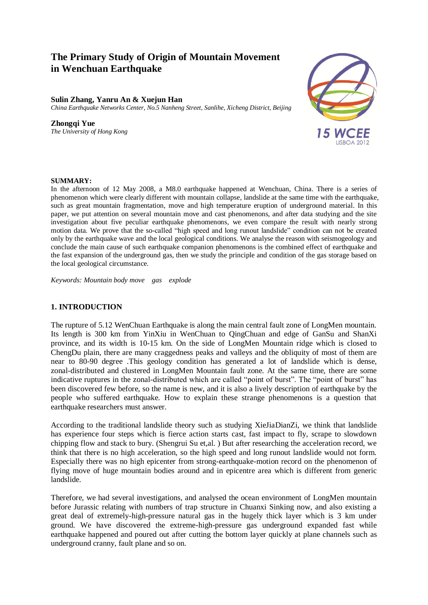# **The Primary Study of Origin of Mountain Movement in Wenchuan Earthquake in Wenchuan Earthquake**

#### **Sulin Zhang, Yanru An & Xuejun Han**

*China Earthquake Networks Center, No.5 Nanheng Street, Sanlihe, Xicheng District, Beijing*

#### **Zhongqi Yue**

*The University of Hong Kong*



## **SUMMARY:**

In the afternoon of 12 May 2008, a M8.0 earthquake happened at Wenchuan, China. There is a series of phenomenon which were clearly different with mountain collapse, landslide at the same time with the earthquake, such as great mountain fragmentation, move and high temperature eruption of underground material. In this paper, we put attention on several mountain move and cast phenomenons, and after data studying and the site investigation about five peculiar earthquake phenomenons, we even compare the result with nearly strong motion data. We prove that the so-called "high speed and long runout landslide" condition can not be created only by the earthquake wave and the local geological conditions. We analyse the reason with seismogeology and conclude the main cause of such earthquake companion phenomenons is the combined effect of earthquake and the fast expansion of the underground gas, then we study the principle and condition of the gas storage based on the local geological circumstance.

*Keywords: Mountain body move gas explode*

## **1. INTRODUCTION**

The rupture of 5.12 WenChuan Earthquake is along the main central fault zone of LongMen mountain. Its length is 300 km from YinXiu in WenChuan to QingChuan and edge of GanSu and ShanXi province, and its width is 10-15 km. On the side of LongMen Mountain ridge which is closed to ChengDu plain, there are many craggedness peaks and valleys and the obliquity of most of them are near to 80-90 degree .This geology condition has generated a lot of landslide which is dense, zonal-distributed and clustered in LongMen Mountain fault zone. At the same time, there are some indicative ruptures in the zonal-distributed which are called "point of burst". The "point of burst" has been discovered few before, so the name is new, and it is also a lively description of earthquake by the people who suffered earthquake. How to explain these strange phenomenons is a question that earthquake researchers must answer.

According to the traditional landslide theory such as studying XieJiaDianZi, we think that landslide has experience four steps which is fierce action starts cast, fast impact to fly, scrape to slowdown chipping flow and stack to bury. (Shengrui Su et,al. ) But after researching the acceleration record, we think that there is no high acceleration, so the high speed and long runout landslide would not form. Especially there was no high epicenter from strong-earthquake-motion record on the phenomenon of flying move of huge mountain bodies around and in epicentre area which is different from generic landslide.

Therefore, we had several investigations, and analysed the ocean environment of LongMen mountain before Jurassic relating with numbers of trap structure in Chuanxi Sinking now, and also existing a great deal of extremely-high-pressure natural gas in the hugely thick layer which is 3 km under ground. We have discovered the extreme-high-pressure gas underground expanded fast while earthquake happened and poured out after cutting the bottom layer quickly at plane channels such as underground cranny, fault plane and so on.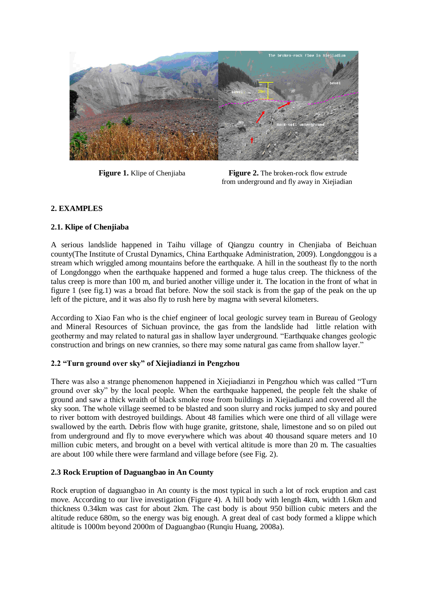

**Figure 1.** Klipe of Chenijaba **Figure 2.** The broken-rock flow extrude from underground and fly away in Xiejiadian

# **2. EXAMPLES**

# **2.1. Klipe of Chenjiaba**

A serious landslide happened in Taihu village of Qiangzu country in Chenjiaba of Beichuan county(The Institute of Crustal Dynamics, China Earthquake Administration, 2009). Longdonggou is a stream which wriggled among mountains before the earthquake. A hill in the southeast fly to the north of Longdonggo when the earthquake happened and formed a huge talus creep. The thickness of the talus creep is more than 100 m, and buried another villige under it. The location in the front of what in figure 1 (see fig.1) was a broad flat before. Now the soil stack is from the gap of the peak on the up left of the picture, and it was also fly to rush here by magma with several kilometers.

According to Xiao Fan who is the chief engineer of local geologic survey team in Bureau of Geology and Mineral Resources of Sichuan province, the gas from the landslide had little relation with geothermy and may related to natural gas in shallow layer underground. "Earthquake changes geologic construction and brings on new crannies, so there may some natural gas came from shallow layer."

# **2.2 "Turn ground over sky" of Xiejiadianzi in Pengzhou**

There was also a strange phenomenon happened in Xiejiadianzi in Pengzhou which was called "Turn ground over sky" by the local people. When the earthquake happened, the people felt the shake of ground and saw a thick wraith of black smoke rose from buildings in Xiejiadianzi and covered all the sky soon. The whole village seemed to be blasted and soon slurry and rocks jumped to sky and poured to river bottom with destroyed buildings. About 48 families which were one third of all village were swallowed by the earth. Debris flow with huge granite, gritstone, shale, limestone and so on piled out from underground and fly to move everywhere which was about 40 thousand square meters and 10 million cubic meters, and brought on a bevel with vertical altitude is more than 20 m. The casualties are about 100 while there were farmland and village before (see Fig. 2).

# **2.3 Rock Eruption of Daguangbao in An County**

Rock eruption of daguangbao in An county is the most typical in such a lot of rock eruption and cast move. According to our live investigation (Figure 4). A hill body with length 4km, width 1.6km and thickness 0.34km was cast for about 2km. The cast body is about 950 billion cubic meters and the altitude reduce 680m, so the energy was big enough. A great deal of cast body formed a klippe which altitude is 1000m beyond 2000m of Daguangbao (Runqiu Huang, 2008a).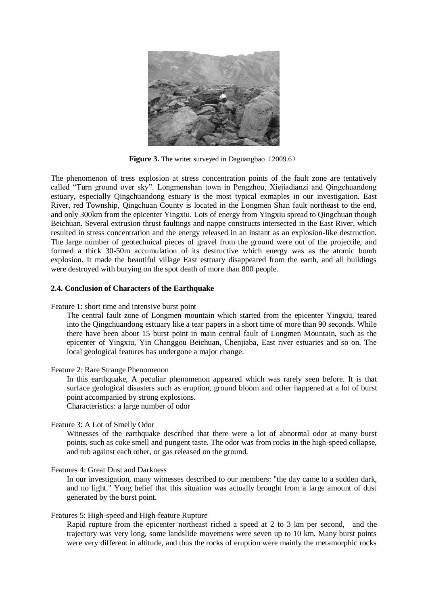

**Figure 3.** The writer surveyed in Daguangbao (2009.6)

The phenomenon of tress explosion at stress concentration points of the fault zone are tentatively called "Turn ground over sky". Longmenshan town in Pengzhou, Xiejiadianzi and Qingchuandong estuary, especially Qingchuandong estuary is the most typical exmaples in our investigation. East River, red Township, Qingchuan County is located in the Longmen Shan fault northeast to the end, and only 300km from the epicenter Yingxiu. Lots of energy from Yingxiu spread to Qingchuan though Beichuan. Several extrusion thrust faultings and nappe constructs intersected in the East River, which resulted in stress concentration and the energy released in an instant as an explosion-like destruction. The large number of geotechnical pieces of gravel from the ground were out of the projectile, and formed a thick 30-50m accumulation of its destructive which energy was as the atomic bomb explosion. It made the beautiful village East esttuary disappeared from the earth, and all buildings were destroyed with burying on the spot death of more than 800 people.

#### **2.4. Conclusion of Characters of the Earthquake**

Feature 1: short time and intensive burst point

The central fault zone of Longmen mountain which started from the epicenter Yingxiu, teared into the Qingchuandong esttuary like a tear papers in a short time of more than 90 seconds. While there have been about 15 burst point in main central fault of Longmen Mountain, such as the epicenter of Yingxiu, Yin Changgou Beichuan, Chenjiaba, East river estuaries and so on. The local geological features has undergone a major change.

#### Feature 2: Rare Strange Phenomenon

In this earthquake, A peculiar phenomenon appeared which was rarely seen before. It is that surface geological disasters such as eruption, ground bloom and other happened at a lot of burst point accompanied by strong explosions.

Characteristics: a large number of odor

#### Feature 3: A Lot of Smelly Odor

Witnesses of the earthquake described that there were a lot of abnormal odor at many burst points, such as coke smell and pungent taste. The odor was from rocks in the high-speed collapse, and rub against each other, or gas released on the ground.

#### Features 4: Great Dust and Darkness

In our investigation, many witnesses described to our members: "the day came to a sudden dark, and no light." Yong belief that this situation was actually brought from a large amount of dust generated by the burst point.

#### Features 5: High-speed and High-feature Rupture

Rapid rupture from the epicenter northeast riched a speed at 2 to 3 km per second, and the trajectory was very long, some landslide movemens were seven up to 10 km. Many burst points were very different in altitude, and thus the rocks of eruption were mainly the metamorphic rocks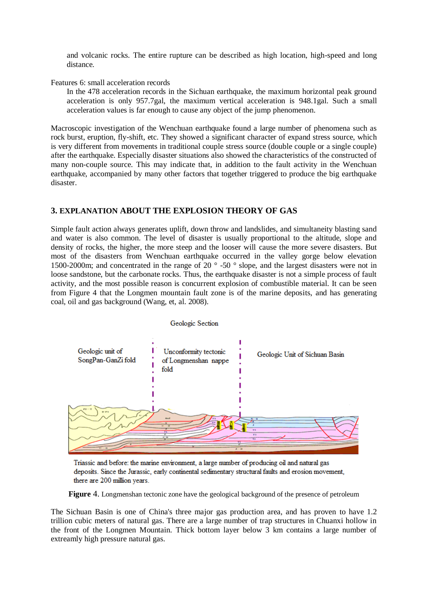and volcanic rocks. The entire rupture can be described as high location, high-speed and long distance.

### Features 6: small acceleration records

In the 478 acceleration records in the Sichuan earthquake, the maximum horizontal peak ground acceleration is only 957.7gal, the maximum vertical acceleration is 948.1gal. Such a small acceleration values is far enough to cause any object of the jump phenomenon.

Macroscopic investigation of the Wenchuan earthquake found a large number of phenomena such as rock burst, eruption, fly-shift, etc. They showed a significant character of expand stress source, which is very different from movements in traditional couple stress source (double couple or a single couple) after the earthquake. Especially disaster situations also showed the characteristics of the constructed of many non-couple source. This may indicate that, in addition to the fault activity in the Wenchuan earthquake, accompanied by many other factors that together triggered to produce the big earthquake disaster.

# **3. EXPLANATION ABOUT THE EXPLOSION THEORY OF GAS**

Simple fault action always generates uplift, down throw and landslides, and simultaneity blasting sand and water is also common. The level of disaster is usually proportional to the altitude, slope and density of rocks, the higher, the more steep and the looser will cause the more severe disasters. But most of the disasters from Wenchuan earthquake occurred in the valley gorge below elevation 1500-2000m; and concentrated in the range of 20 ° -50 ° slope, and the largest disasters were not in loose sandstone, but the carbonate rocks. Thus, the earthquake disaster is not a simple process of fault activity, and the most possible reason is concurrent explosion of combustible material. It can be seen from Figure 4 that the Longmen mountain fault zone is of the marine deposits, and has generating coal, oil and gas background (Wang, et, al. 2008).



Triassic and before: the marine environment, a large number of producing oil and natural gas deposits. Since the Jurassic, early continental sedimentary structural faults and erosion movement, there are 200 million years.

**Figure** 4. Longmenshan tectonic zone have the geological background of the presence of petroleum

The Sichuan Basin is one of China's three major gas production area, and has proven to have 1.2 trillion cubic meters of natural gas. There are a large number of trap structures in Chuanxi hollow in the front of the Longmen Mountain. Thick bottom layer below 3 km contains a large number of extreamly high pressure natural gas.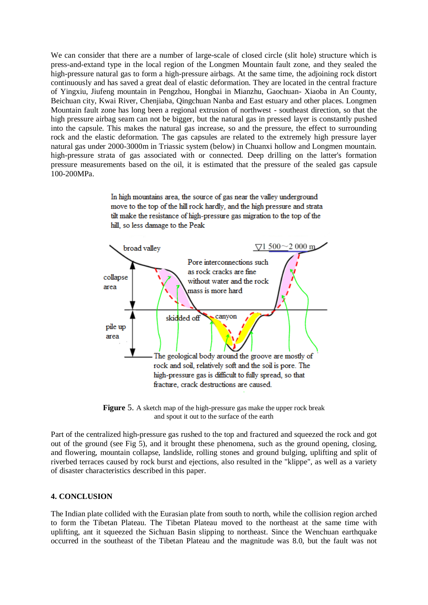We can consider that there are a number of large-scale of closed circle (slit hole) structure which is press-and-extand type in the local region of the Longmen Mountain fault zone, and they sealed the high-pressure natural gas to form a high-pressure airbags. At the same time, the adjoining rock distort continuously and has saved a great deal of elastic deformation. They are located in the central fracture of Yingxiu, Jiufeng mountain in Pengzhou, Hongbai in Mianzhu, Gaochuan- Xiaoba in An County, Beichuan city, Kwai River, Chenjiaba, Qingchuan Nanba and East estuary and other places. Longmen Mountain fault zone has long been a regional extrusion of northwest - southeast direction, so that the high pressure airbag seam can not be bigger, but the natural gas in pressed layer is constantly pushed into the capsule. This makes the natural gas increase, so and the pressure, the effect to surrounding rock and the elastic deformation. The gas capsules are related to the extremely high pressure layer natural gas under 2000-3000m in Triassic system (below) in Chuanxi hollow and Longmen mountain. high-pressure strata of gas associated with or connected. Deep drilling on the latter's formation pressure measurements based on the oil, it is estimated that the pressure of the sealed gas capsule 100-200MPa.

> In high mountains area, the source of gas near the valley underground move to the top of the hill rock hardly, and the high pressure and strata tilt make the resistance of high-pressure gas migration to the top of the hill, so less damage to the Peak

![](_page_4_Figure_2.jpeg)

**Figure** 5. A sketch map of the high-pressure gas make the upper rock break and spout it out to the surface of the earth

Part of the centralized high-pressure gas rushed to the top and fractured and squeezed the rock and got out of the ground (see Fig 5), and it brought these phenomena, such as the ground opening, closing, and flowering, mountain collapse, landslide, rolling stones and ground bulging, uplifting and split of riverbed terraces caused by rock burst and ejections, also resulted in the "klippe", as well as a variety of disaster characteristics described in this paper.

## **4. CONCLUSION**

The Indian plate collided with the Eurasian plate from south to north, while the collision region arched to form the Tibetan Plateau. The Tibetan Plateau moved to the northeast at the same time with uplifting, ant it squeezed the Sichuan Basin slipping to northeast. Since the Wenchuan earthquake occurred in the southeast of the Tibetan Plateau and the magnitude was 8.0, but the fault was not